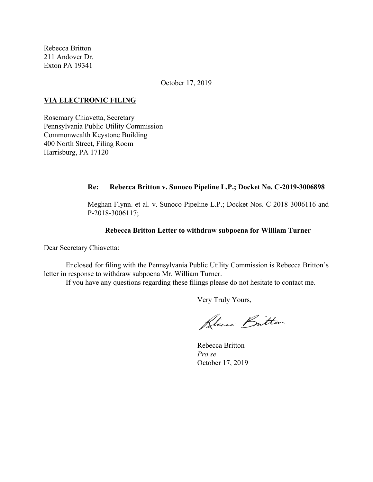Rebecca Britton 211 Andover Dr. Exton PA 19341

October 17, 2019

### **VIA ELECTRONIC FILING**

Rosemary Chiavetta, Secretary Pennsylvania Public Utility Commission Commonwealth Keystone Building 400 North Street, Filing Room Harrisburg, PA 17120

### **Re: Rebecca Britton v. Sunoco Pipeline L.P.; Docket No. C-2019-3006898**

Meghan Flynn. et al. v. Sunoco Pipeline L.P.; Docket Nos. C-2018-3006116 and P-2018-3006117;

### **Rebecca Britton Letter to withdraw subpoena for William Turner**

Dear Secretary Chiavetta:

Enclosed for filing with the Pennsylvania Public Utility Commission is Rebecca Britton's letter in response to withdraw subpoena Mr. William Turner.

If you have any questions regarding these filings please do not hesitate to contact me.

Very Truly Yours,

Blue Britten

Rebecca Britton *Pro se* October 17, 2019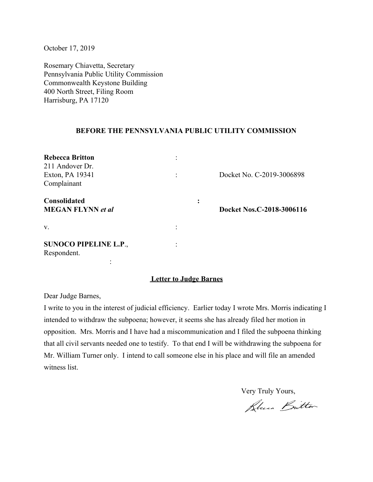October 17, 2019

Rosemary Chiavetta, Secretary Pennsylvania Public Utility Commission Commonwealth Keystone Building 400 North Street, Filing Room Harrisburg, PA 17120

## **BEFORE THE PENNSYLVANIA PUBLIC UTILITY COMMISSION**

| <b>Rebecca Britton</b><br>211 Andover Dr.<br>Exton, PA 19341<br>Complainant |  | Docket No. C-2019-3006898 |
|-----------------------------------------------------------------------------|--|---------------------------|
| <b>Consolidated</b><br><b>MEGAN FLYNN</b> et al                             |  | Docket Nos.C-2018-3006116 |
| V.                                                                          |  |                           |
| <b>SUNOCO PIPELINE L.P.,</b><br>Respondent.                                 |  |                           |

## **Letter to Judge Barnes**

Dear Judge Barnes,

I write to you in the interest of judicial efficiency. Earlier today I wrote Mrs. Morris indicating I intended to withdraw the subpoena; however, it seems she has already filed her motion in opposition. Mrs. Morris and I have had a miscommunication and I filed the subpoena thinking that all civil servants needed one to testify. To that end I will be withdrawing the subpoena for Mr. William Turner only. I intend to call someone else in his place and will file an amended witness list.

Very Truly Yours,

Blue Britton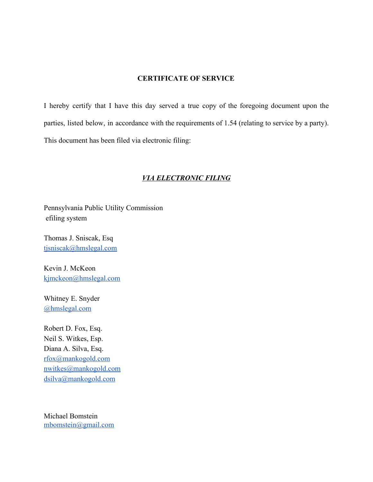# **CERTIFICATE OF SERVICE**

I hereby certify that I have this day served a true copy of the foregoing document upon the parties, listed below, in accordance with the requirements of 1.54 (relating to service by a party). This document has been filed via electronic filing:

## *VIA ELECTRONIC FILING*

Pennsylvania Public Utility Commission efiling system

Thomas J. Sniscak, Esq [tjsniscak@hmslegal.com](mailto:tjsniscak@hmslegal.com)

Kevin J. McKeon [kjmckeon@hmslegal.com](mailto:kjmckeon@hmslegal.com)

Whitney E. Snyder [@hmslegal.com](mailto:wesnyder@hmslegal.com)

Robert D. Fox, Esq. Neil S. Witkes, Esp. Diana A. Silva, Esq. [rfox@mankogold.com](mailto:rfox@mankogold.com) [nwitkes@mankogold.com](mailto:nwitkes@mankogold.com) [dsilva@mankogold.com](mailto:dsilva@mankogold.com)

Michael Bomstein [mbomstein@gmail.com](mailto:mbomstein@gmail.com)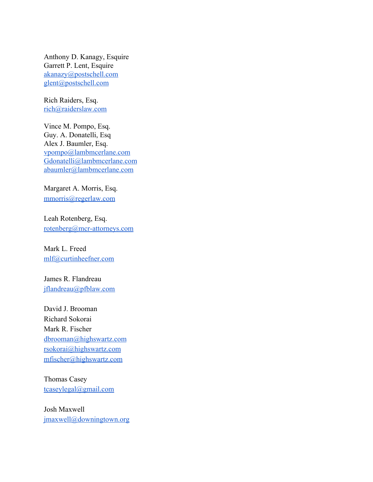Anthony D. Kanagy, Esquire Garrett P. Lent, Esquire [akanazy@postschell.com](mailto:akanazy@postschell.com) [glent@postschell.com](mailto:glent@postschell.com)

Rich Raiders, Esq. [rich@raiderslaw.com](mailto:rich@raiderslaw.com)

Vince M. Pompo, Esq. Guy. A. Donatelli, Esq Alex J. Baumler, Esq. [vpompo@lambmcerlane.com](mailto:vpompo@lambmcerlane.com) [Gdonatelli@lambmcerlane.com](mailto:Gdonatelli@lambmcerlane.com) [abaumler@lambmcerlane.com](mailto:abaumler@lambmcerlane.com)

Margaret A. Morris, Esq. [mmorris@regerlaw.com](mailto:mmorris@regerlaw.com)

Leah Rotenberg, Esq. [rotenberg@mcr-attorneys.com](mailto:rotenberg@mcr-attorneys.com)

Mark L. Freed [mlf@curtinheefner.com](mailto:mlf@curtinheefner.com)

James R. Flandreau [jflandreau@pfblaw.com](mailto:jflandreau@pfblaw.com)

David J. Brooman Richard Sokorai Mark R. Fischer [dbrooman@highswartz.com](mailto:dbrooman@highswartz.com) [rsokorai@highswartz.com](mailto:rsokorai@highswartz.com) [mfischer@highswartz.com](mailto:mfischer@highswartz.com)

Thomas Casey [tcaseylegal@gmail.com](mailto:tcaseylegal@gmail.com)

Josh Maxwell [jmaxwell@downingtown.org](mailto:jmaxwell@downingtown.org)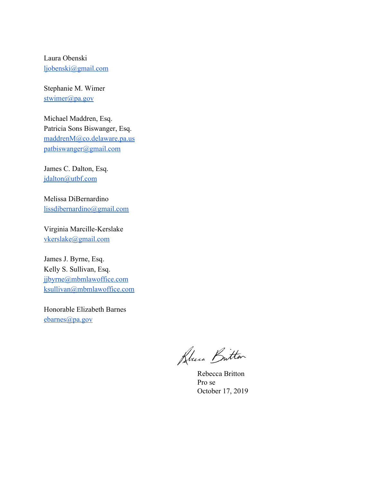Laura Obenski [ljobenski@gmail.com](mailto:ljobenski@gmail.com)

Stephanie M. Wimer [stwimer@pa.gov](mailto:stwimer@pa.gov)

Michael Maddren, Esq. Patricia Sons Biswanger, Esq. [maddrenM@co.delaware.pa.us](mailto:maddrenM@co.delaware.pa.us) [patbiswanger@gmail.com](mailto:patbiswanger@gmail.com)

James C. Dalton, Esq. [jdalton@utbf.com](mailto:jdalton@utbf.com)

Melissa DiBernardino [lissdibernardino@gmail.com](mailto:lissdibernardino@gmail.com)

Virginia Marcille-Kerslake [vkerslake@gmail.com](mailto:vkerslake@gmail.com)

James J. Byrne, Esq. Kelly S. Sullivan, Esq. [jjbyrne@mbmlawoffice.com](mailto:jjbyrne@mbmlawoffice.com) [ksullivan@mbmlawoffice.com](mailto:ksullivan@mbmlawoffice.com)

Honorable Elizabeth Barnes [ebarnes@pa.gov](mailto:ebarnes@pa.gov)

Blue Butter

Rebecca Britton Pro se October 17, 2019